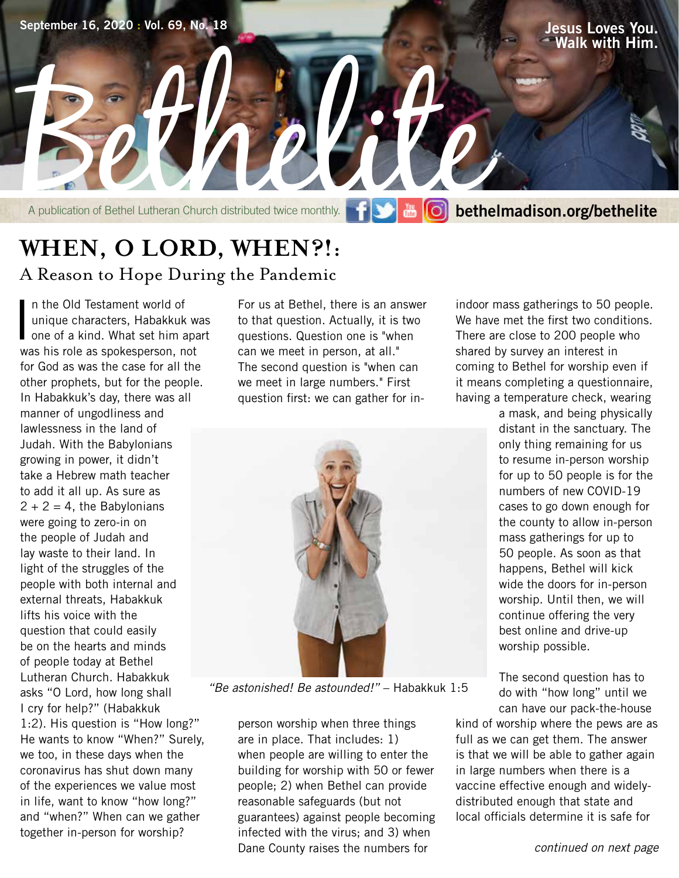**Walk with Him.**

A publication of Bethel Lutheran Church distributed twice monthly. F S & O beth A publication of Bethel Lutheran Church distributed twice monthly. **bethelmadison.org/bethelite** 

### **WHEN, O LORD, WHEN?!:** A Reason to Hope During the Pandemic

In the Old Testament world of<br>
unique characters, Habakkuk was<br>
one of a kind. What set him apart<br>
we his rele as apakanayses, not n the Old Testament world of unique characters, Habakkuk was was his role as spokesperson, not for God as was the case for all the other prophets, but for the people. In Habakkuk's day, there was all manner of ungodliness and lawlessness in the land of Judah. With the Babylonians growing in power, it didn't take a Hebrew math teacher to add it all up. As sure as  $2 + 2 = 4$ , the Babylonians were going to zero-in on the people of Judah and lay waste to their land. In light of the struggles of the people with both internal and external threats, Habakkuk lifts his voice with the question that could easily be on the hearts and minds of people today at Bethel Lutheran Church. Habakkuk asks "O Lord, how long shall I cry for help?" (Habakkuk 1:2). His question is "How long?" He wants to know "When?" Surely, we too, in these days when the coronavirus has shut down many of the experiences we value most in life, want to know "how long?" and "when?" When can we gather together in-person for worship?

For us at Bethel, there is an answer to that question. Actually, it is two questions. Question one is "when can we meet in person, at all." The second question is "when can we meet in large numbers." First question first: we can gather for in-



*"Be astonished! Be astounded!"* – Habakkuk 1:5

person worship when three things are in place. That includes: 1) when people are willing to enter the building for worship with 50 or fewer people; 2) when Bethel can provide reasonable safeguards (but not guarantees) against people becoming infected with the virus; and 3) when Dane County raises the numbers for

indoor mass gatherings to 50 people. We have met the first two conditions. There are close to 200 people who shared by survey an interest in coming to Bethel for worship even if it means completing a questionnaire, having a temperature check, wearing

> a mask, and being physically distant in the sanctuary. The only thing remaining for us to resume in-person worship for up to 50 people is for the numbers of new COVID-19 cases to go down enough for the county to allow in-person mass gatherings for up to 50 people. As soon as that happens, Bethel will kick wide the doors for in-person worship. Until then, we will continue offering the very best online and drive-up worship possible.

> The second question has to do with "how long" until we can have our pack-the-house

kind of worship where the pews are as full as we can get them. The answer is that we will be able to gather again in large numbers when there is a vaccine effective enough and widelydistributed enough that state and local officials determine it is safe for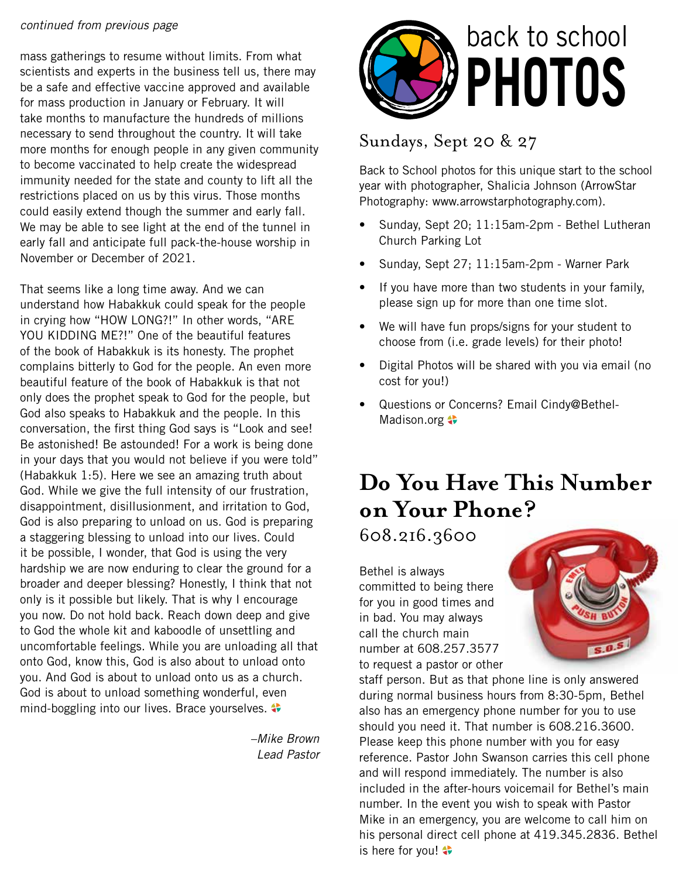#### *continued from previous page*

mass gatherings to resume without limits. From what scientists and experts in the business tell us, there may be a safe and effective vaccine approved and available for mass production in January or February. It will take months to manufacture the hundreds of millions necessary to send throughout the country. It will take more months for enough people in any given community to become vaccinated to help create the widespread immunity needed for the state and county to lift all the restrictions placed on us by this virus. Those months could easily extend though the summer and early fall. We may be able to see light at the end of the tunnel in early fall and anticipate full pack-the-house worship in November or December of 2021.

That seems like a long time away. And we can understand how Habakkuk could speak for the people in crying how "HOW LONG?!" In other words, "ARE YOU KIDDING ME?!" One of the beautiful features of the book of Habakkuk is its honesty. The prophet complains bitterly to God for the people. An even more beautiful feature of the book of Habakkuk is that not only does the prophet speak to God for the people, but God also speaks to Habakkuk and the people. In this conversation, the first thing God says is "Look and see! Be astonished! Be astounded! For a work is being done in your days that you would not believe if you were told" (Habakkuk 1:5). Here we see an amazing truth about God. While we give the full intensity of our frustration, disappointment, disillusionment, and irritation to God, God is also preparing to unload on us. God is preparing a staggering blessing to unload into our lives. Could it be possible, I wonder, that God is using the very hardship we are now enduring to clear the ground for a broader and deeper blessing? Honestly, I think that not only is it possible but likely. That is why I encourage you now. Do not hold back. Reach down deep and give to God the whole kit and kaboodle of unsettling and uncomfortable feelings. While you are unloading all that onto God, know this, God is also about to unload onto you. And God is about to unload onto us as a church. God is about to unload something wonderful, even mind-boggling into our lives. Brace yourselves.

> *–Mike Brown Lead Pastor*



### Sundays, Sept 20 & 27

Back to School photos for this unique start to the school year with photographer, Shalicia Johnson (ArrowStar Photography: www.arrowstarphotography.com).

- Sunday, Sept 20; 11:15am-2pm Bethel Lutheran Church Parking Lot
- Sunday, Sept 27; 11:15am-2pm Warner Park
- If you have more than two students in your family, please sign up for more than one time slot.
- We will have fun props/signs for your student to choose from (i.e. grade levels) for their photo!
- Digital Photos will be shared with you via email (no cost for you!)
- Questions or Concerns? Email Cindy@Bethel-Madison.org  $\leftrightarrow$

### **Do You Have This Number on Your Phone?**

608.216.3600

Bethel is always committed to being there for you in good times and in bad. You may always call the church main number at 608.257.3577 to request a pastor or other



staff person. But as that phone line is only answered during normal business hours from 8:30-5pm, Bethel also has an emergency phone number for you to use should you need it. That number is 608.216.3600. Please keep this phone number with you for easy reference. Pastor John Swanson carries this cell phone and will respond immediately. The number is also included in the after-hours voicemail for Bethel's main number. In the event you wish to speak with Pastor Mike in an emergency, you are welcome to call him on his personal direct cell phone at 419.345.2836. Bethel is here for you!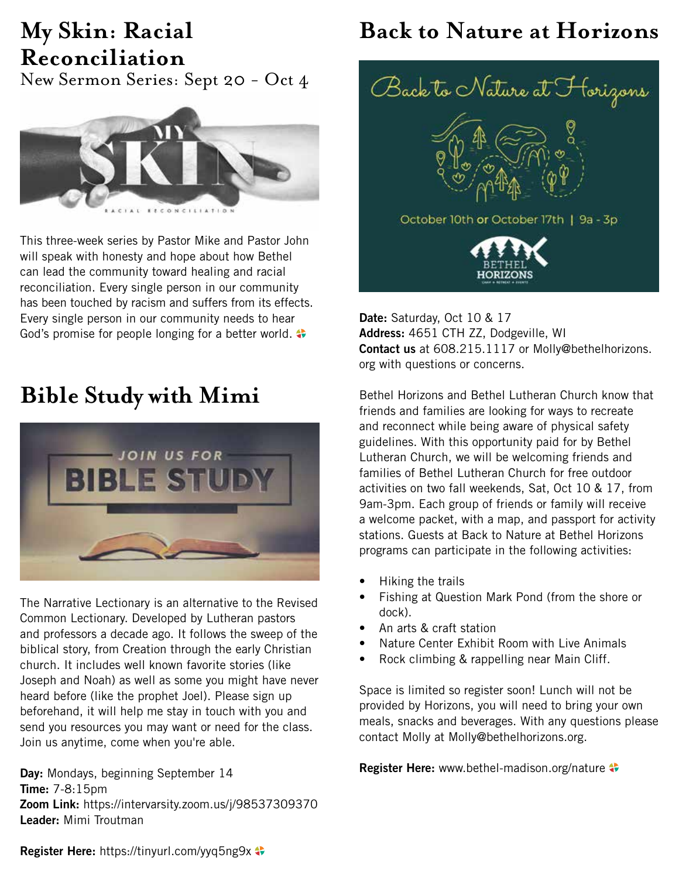# **Reconciliation**

New Sermon Series: Sept 20 - Oct 4



This three-week series by Pastor Mike and Pastor John will speak with honesty and hope about how Bethel can lead the community toward healing and racial reconciliation. Every single person in our community has been touched by racism and suffers from its effects. Every single person in our community needs to hear God's promise for people longing for a better world.

### **Bible Study with Mimi**



The Narrative Lectionary is an alternative to the Revised Common Lectionary. Developed by Lutheran pastors and professors a decade ago. It follows the sweep of the biblical story, from Creation through the early Christian church. It includes well known favorite stories (like Joseph and Noah) as well as some you might have never heard before (like the prophet Joel). Please sign up beforehand, it will help me stay in touch with you and send you resources you may want or need for the class. Join us anytime, come when you're able.

**Day:** Mondays, beginning September 14 **Time:** 7-8:15pm **Zoom Link:** https://intervarsity.zoom.us/j/98537309370 **Leader:** Mimi Troutman

### **My Skin: Racial Back to Nature at Horizons**



**Date:** Saturday, Oct 10 & 17 **Address:** 4651 CTH ZZ, Dodgeville, WI **Contact us** at 608.215.1117 or Molly@bethelhorizons. org with questions or concerns.

Bethel Horizons and Bethel Lutheran Church know that friends and families are looking for ways to recreate and reconnect while being aware of physical safety guidelines. With this opportunity paid for by Bethel Lutheran Church, we will be welcoming friends and families of Bethel Lutheran Church for free outdoor activities on two fall weekends, Sat, Oct 10 & 17, from 9am-3pm. Each group of friends or family will receive a welcome packet, with a map, and passport for activity stations. Guests at Back to Nature at Bethel Horizons programs can participate in the following activities:

- Hiking the trails
- Fishing at Question Mark Pond (from the shore or dock).
- An arts & craft station
- Nature Center Exhibit Room with Live Animals
- Rock climbing & rappelling near Main Cliff.

Space is limited so register soon! Lunch will not be provided by Horizons, you will need to bring your own meals, snacks and beverages. With any questions please contact Molly at Molly@bethelhorizons.org.

**Register Here:** www.bethel-madison.org/nature

**Register Here:** https://tinyurl.com/yyq5ng9x  $\bullet$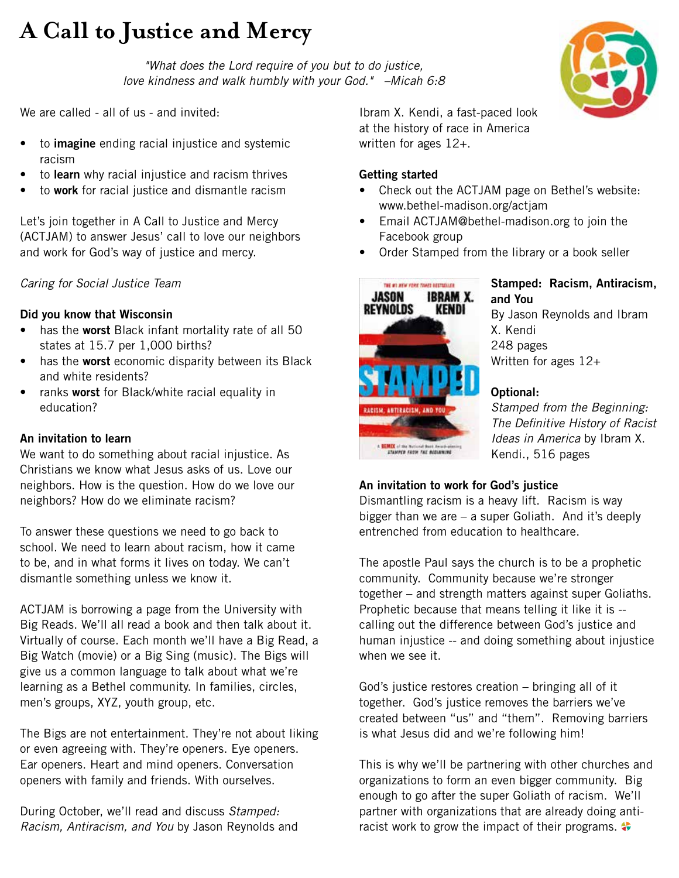### **A Call to Justice and Mercy**

*"What does the Lord require of you but to do justice, love kindness and walk humbly with your God." –Micah 6:8*

We are called - all of us - and invited:

- to **imagine** ending racial injustice and systemic racism
- to **learn** why racial injustice and racism thrives
- to **work** for racial justice and dismantle racism

Let's join together in A Call to Justice and Mercy (ACTJAM) to answer Jesus' call to love our neighbors and work for God's way of justice and mercy.

### *Caring for Social Justice Team*

### **Did you know that Wisconsin**

- has the **worst** Black infant mortality rate of all 50 states at 15.7 per 1,000 births?
- has the **worst** economic disparity between its Black and white residents?
- ranks **worst** for Black/white racial equality in education?

#### **An invitation to learn**

We want to do something about racial injustice. As Christians we know what Jesus asks of us. Love our neighbors. How is the question. How do we love our neighbors? How do we eliminate racism?

To answer these questions we need to go back to school. We need to learn about racism, how it came to be, and in what forms it lives on today. We can't dismantle something unless we know it.

ACTJAM is borrowing a page from the University with Big Reads. We'll all read a book and then talk about it. Virtually of course. Each month we'll have a Big Read, a Big Watch (movie) or a Big Sing (music). The Bigs will give us a common language to talk about what we're learning as a Bethel community. In families, circles, men's groups, XYZ, youth group, etc.

The Bigs are not entertainment. They're not about liking or even agreeing with. They're openers. Eye openers. Ear openers. Heart and mind openers. Conversation openers with family and friends. With ourselves.

During October, we'll read and discuss *Stamped: Racism, Antiracism, and You* by Jason Reynolds and Ibram X. Kendi, a fast-paced look at the history of race in America written for ages 12+.

#### **Getting started**

- Check out the ACTJAM page on Bethel's website: www.bethel-madison.org/actjam
- Email ACTJAM@bethel-madison.org to join the Facebook group
- Order Stamped from the library or a book seller



#### **Stamped: Racism, Antiracism, and You** By Jason Reynolds and Ibram X. Kendi 248 pages Written for ages 12+

### **Optional:**

*Stamped from the Beginning: The Definitive History of Racist Ideas in America* by Ibram X. Kendi., 516 pages

### **An invitation to work for God's justice**

Dismantling racism is a heavy lift. Racism is way bigger than we are – a super Goliath. And it's deeply entrenched from education to healthcare.

The apostle Paul says the church is to be a prophetic community. Community because we're stronger together – and strength matters against super Goliaths. Prophetic because that means telling it like it is - calling out the difference between God's justice and human injustice -- and doing something about injustice when we see it.

God's justice restores creation – bringing all of it together. God's justice removes the barriers we've created between "us" and "them". Removing barriers is what Jesus did and we're following him!

This is why we'll be partnering with other churches and organizations to form an even bigger community. Big enough to go after the super Goliath of racism. We'll partner with organizations that are already doing antiracist work to grow the impact of their programs.

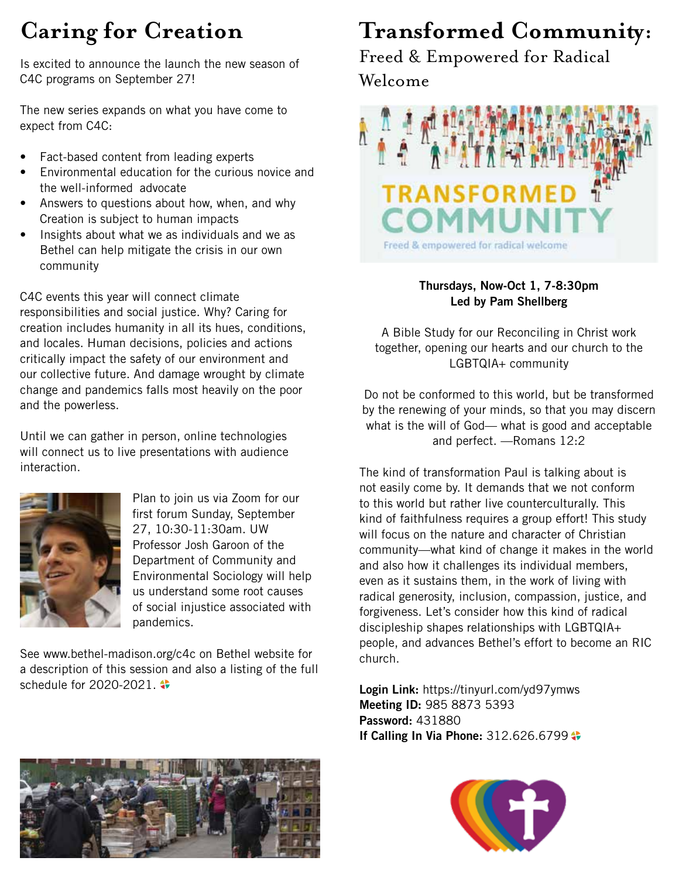### **Caring for Creation**

Is excited to announce the launch the new season of C4C programs on September 27!

The new series expands on what you have come to expect from C4C:

- Fact-based content from leading experts
- Environmental education for the curious novice and the well-informed advocate
- Answers to questions about how, when, and why Creation is subject to human impacts
- Insights about what we as individuals and we as Bethel can help mitigate the crisis in our own community

C4C events this year will connect climate responsibilities and social justice. Why? Caring for creation includes humanity in all its hues, conditions, and locales. Human decisions, policies and actions critically impact the safety of our environment and our collective future. And damage wrought by climate change and pandemics falls most heavily on the poor and the powerless.

Until we can gather in person, online technologies will connect us to live presentations with audience interaction.



Plan to join us via Zoom for our first forum Sunday, September 27, 10:30-11:30am. UW Professor Josh Garoon of the Department of Community and Environmental Sociology will help us understand some root causes of social injustice associated with pandemics.

See www.bethel-madison.org/c4c on Bethel website for a description of this session and also a listing of the full schedule for 2020-2021.  $\bullet$ 

## **Transformed Community:**

Freed & Empowered for Radical Welcome



### **Thursdays, Now-Oct 1, 7-8:30pm Led by Pam Shellberg**

A Bible Study for our Reconciling in Christ work together, opening our hearts and our church to the LGBTQIA+ community

Do not be conformed to this world, but be transformed by the renewing of your minds, so that you may discern what is the will of God— what is good and acceptable and perfect. —Romans 12:2

The kind of transformation Paul is talking about is not easily come by. It demands that we not conform to this world but rather live counterculturally. This kind of faithfulness requires a group effort! This study will focus on the nature and character of Christian community—what kind of change it makes in the world and also how it challenges its individual members, even as it sustains them, in the work of living with radical generosity, inclusion, compassion, justice, and forgiveness. Let's consider how this kind of radical discipleship shapes relationships with LGBTQIA+ people, and advances Bethel's effort to become an RIC church.

**Login Link:** https://tinyurl.com/yd97ymws **Meeting ID:** 985 8873 5393 **Password:** 431880 **If Calling In Via Phone: 312.626.6799**  $\bullet$ 



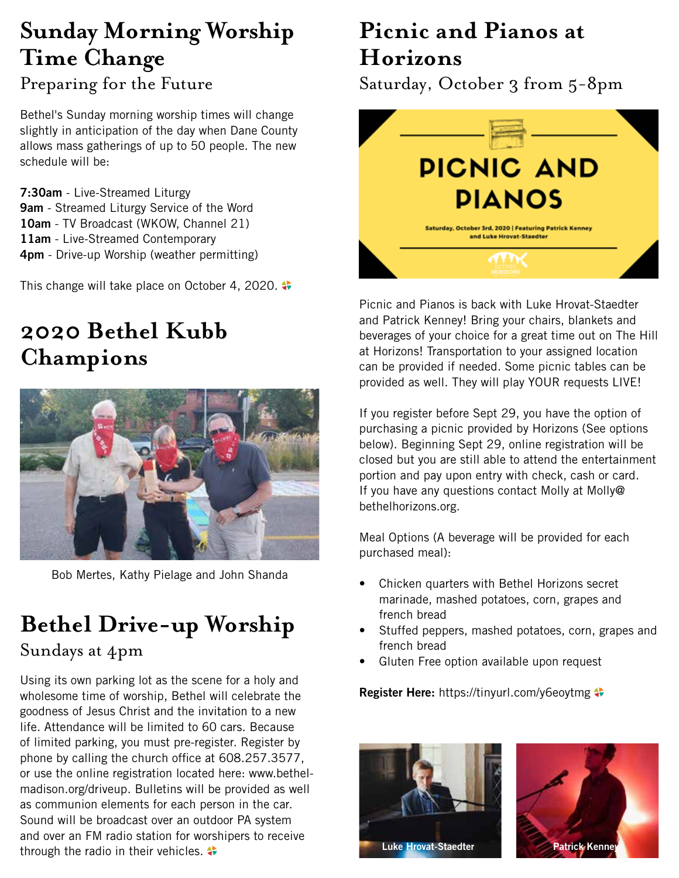### **Sunday Morning Worship Time Change** Preparing for the Future

Bethel's Sunday morning worship times will change slightly in anticipation of the day when Dane County allows mass gatherings of up to 50 people. The new schedule will be:

**7:30am** - Live-Streamed Liturgy **9am** - Streamed Liturgy Service of the Word **10am** - TV Broadcast (WKOW, Channel 21) **11am** - Live-Streamed Contemporary **4pm** - Drive-up Worship (weather permitting)

This change will take place on October 4, 2020.

### **2020 Bethel Kubb Champions**



Bob Mertes, Kathy Pielage and John Shanda

### **Bethel Drive-up Worship**

### Sundays at 4pm

Using its own parking lot as the scene for a holy and wholesome time of worship, Bethel will celebrate the goodness of Jesus Christ and the invitation to a new life. Attendance will be limited to 60 cars. Because of limited parking, you must pre-register. Register by phone by calling the church office at 608.257.3577, or use the online registration located here: www.bethelmadison.org/driveup. Bulletins will be provided as well as communion elements for each person in the car. Sound will be broadcast over an outdoor PA system and over an FM radio station for worshipers to receive through the radio in their vehicles.

### **Picnic and Pianos at Horizons**

Saturday, October 3 from 5-8pm



Picnic and Pianos is back with Luke Hrovat-Staedter and Patrick Kenney! Bring your chairs, blankets and beverages of your choice for a great time out on The Hill at Horizons! Transportation to your assigned location can be provided if needed. Some picnic tables can be provided as well. They will play YOUR requests LIVE!

If you register before Sept 29, you have the option of purchasing a picnic provided by Horizons (See options below). Beginning Sept 29, online registration will be closed but you are still able to attend the entertainment portion and pay upon entry with check, cash or card. If you have any questions contact Molly at Molly@ bethelhorizons.org.

Meal Options (A beverage will be provided for each purchased meal):

- Chicken quarters with Bethel Horizons secret marinade, mashed potatoes, corn, grapes and french bread
- Stuffed peppers, mashed potatoes, corn, grapes and french bread
- Gluten Free option available upon request

**Register Here:** https://tinyurl.com/y6eoytmg



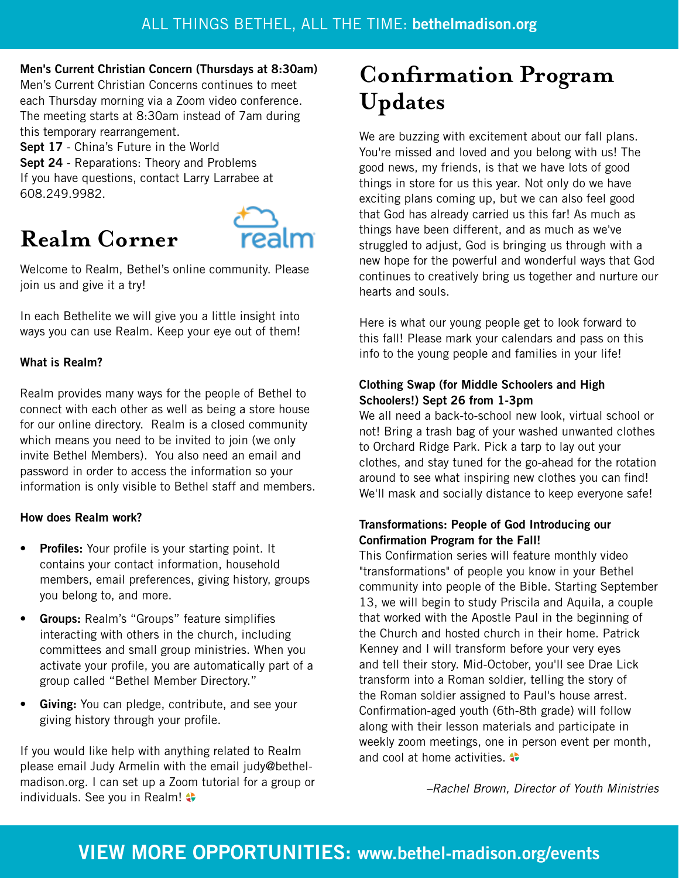#### **Men's Current Christian Concern (Thursdays at 8:30am)**

Men's Current Christian Concerns continues to meet each Thursday morning via a Zoom video conference. The meeting starts at 8:30am instead of 7am during this temporary rearrangement.

**Sept 17** - China's Future in the World **Sept 24** - Reparations: Theory and Problems If you have questions, contact Larry Larrabee at 608.249.9982.

### **Realm Corner**



Welcome to Realm, Bethel's online community. Please join us and give it a try!

In each Bethelite we will give you a little insight into ways you can use Realm. Keep your eye out of them!

### **What is Realm?**

Realm provides many ways for the people of Bethel to connect with each other as well as being a store house for our online directory. Realm is a closed community which means you need to be invited to join (we only invite Bethel Members). You also need an email and password in order to access the information so your information is only visible to Bethel staff and members.

### **How does Realm work?**

- **• Profiles:** Your profile is your starting point. It contains your contact information, household members, email preferences, giving history, groups you belong to, and more.
- **• Groups:** Realm's "Groups" feature simplifies interacting with others in the church, including committees and small group ministries. When you activate your profile, you are automatically part of a group called "Bethel Member Directory."
- **• Giving:** You can pledge, contribute, and see your giving history through your profile.

If you would like help with anything related to Realm please email Judy Armelin with the email judy@bethelmadison.org. I can set up a Zoom tutorial for a group or individuals. See you in Realm!

### **Confirmation Program Updates**

We are buzzing with excitement about our fall plans. You're missed and loved and you belong with us! The good news, my friends, is that we have lots of good things in store for us this year. Not only do we have exciting plans coming up, but we can also feel good that God has already carried us this far! As much as things have been different, and as much as we've struggled to adjust, God is bringing us through with a new hope for the powerful and wonderful ways that God continues to creatively bring us together and nurture our hearts and souls.

Here is what our young people get to look forward to this fall! Please mark your calendars and pass on this info to the young people and families in your life!

### **Clothing Swap (for Middle Schoolers and High Schoolers!) Sept 26 from 1-3pm**

We all need a back-to-school new look, virtual school or not! Bring a trash bag of your washed unwanted clothes to Orchard Ridge Park. Pick a tarp to lay out your clothes, and stay tuned for the go-ahead for the rotation around to see what inspiring new clothes you can find! We'll mask and socially distance to keep everyone safe!

### **Transformations: People of God Introducing our Confirmation Program for the Fall!**

This Confirmation series will feature monthly video "transformations" of people you know in your Bethel community into people of the Bible. Starting September 13, we will begin to study Priscila and Aquila, a couple that worked with the Apostle Paul in the beginning of the Church and hosted church in their home. Patrick Kenney and I will transform before your very eyes and tell their story. Mid-October, you'll see Drae Lick transform into a Roman soldier, telling the story of the Roman soldier assigned to Paul's house arrest. Confirmation-aged youth (6th-8th grade) will follow along with their lesson materials and participate in weekly zoom meetings, one in person event per month, and cool at home activities.

*–Rachel Brown, Director of Youth Ministries*

### **VIEW MORE OPPORTUNITIES: www.bethel-madison.org/events**